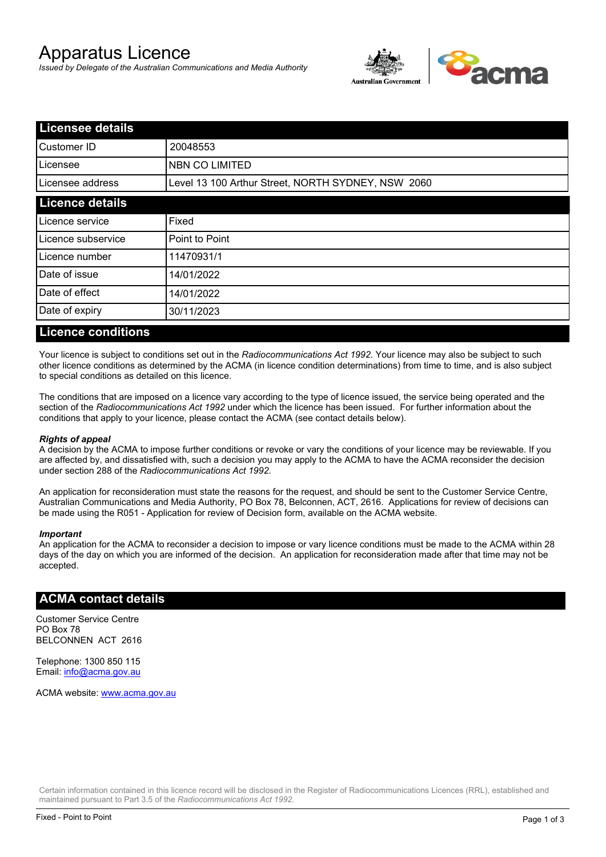# Apparatus Licence

*Issued by Delegate of the Australian Communications and Media Authority*



| <b>Licensee details</b> |                                                    |  |
|-------------------------|----------------------------------------------------|--|
| Customer ID             | 20048553                                           |  |
| Licensee                | NBN CO LIMITED                                     |  |
| Licensee address        | Level 13 100 Arthur Street, NORTH SYDNEY, NSW 2060 |  |
| <b>Licence details</b>  |                                                    |  |
| Licence service         | Fixed                                              |  |
| Licence subservice      | Point to Point                                     |  |
| Licence number          | 11470931/1                                         |  |
| Date of issue           | 14/01/2022                                         |  |
| Date of effect          | 14/01/2022                                         |  |
| Date of expiry          | 30/11/2023                                         |  |
|                         |                                                    |  |

#### **Licence conditions**

Your licence is subject to conditions set out in the *Radiocommunications Act 1992*. Your licence may also be subject to such other licence conditions as determined by the ACMA (in licence condition determinations) from time to time, and is also subject to special conditions as detailed on this licence.

The conditions that are imposed on a licence vary according to the type of licence issued, the service being operated and the section of the *Radiocommunications Act 1992* under which the licence has been issued. For further information about the conditions that apply to your licence, please contact the ACMA (see contact details below).

#### *Rights of appeal*

A decision by the ACMA to impose further conditions or revoke or vary the conditions of your licence may be reviewable. If you are affected by, and dissatisfied with, such a decision you may apply to the ACMA to have the ACMA reconsider the decision under section 288 of the *Radiocommunications Act 1992*.

An application for reconsideration must state the reasons for the request, and should be sent to the Customer Service Centre, Australian Communications and Media Authority, PO Box 78, Belconnen, ACT, 2616. Applications for review of decisions can be made using the R051 - Application for review of Decision form, available on the ACMA website.

#### *Important*

An application for the ACMA to reconsider a decision to impose or vary licence conditions must be made to the ACMA within 28 days of the day on which you are informed of the decision. An application for reconsideration made after that time may not be accepted.

#### **ACMA contact details**

Customer Service Centre PO Box 78 BELCONNEN ACT 2616

Telephone: 1300 850 115 Email: info@acma.gov.au

ACMA website: www.acma.gov.au

Certain information contained in this licence record will be disclosed in the Register of Radiocommunications Licences (RRL), established and maintained pursuant to Part 3.5 of the *Radiocommunications Act 1992.*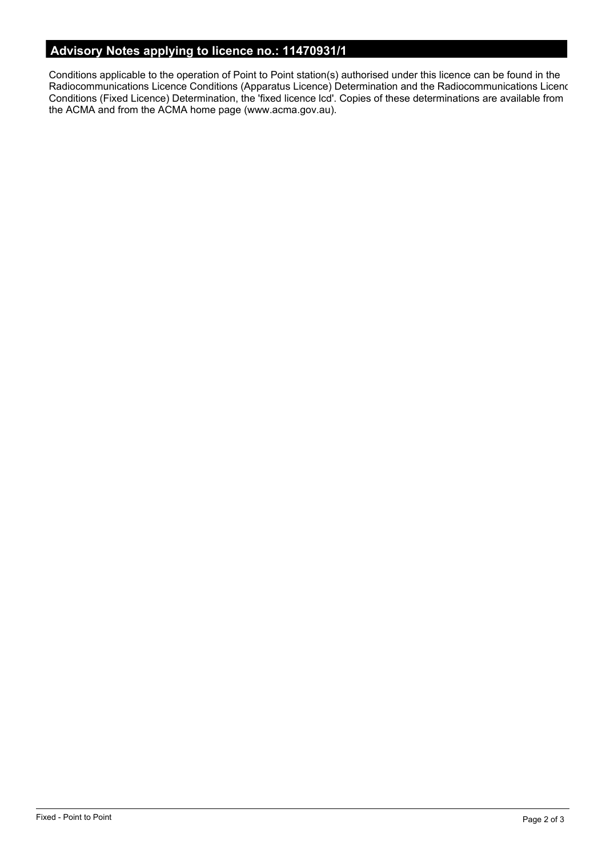# **Advisory Notes applying to licence no.: 11470931/1**

Conditions applicable to the operation of Point to Point station(s) authorised under this licence can be found in the Radiocommunications Licence Conditions (Apparatus Licence) Determination and the Radiocommunications Licence Conditions (Fixed Licence) Determination, the 'fixed licence lcd'. Copies of these determinations are available from the ACMA and from the ACMA home page (www.acma.gov.au).